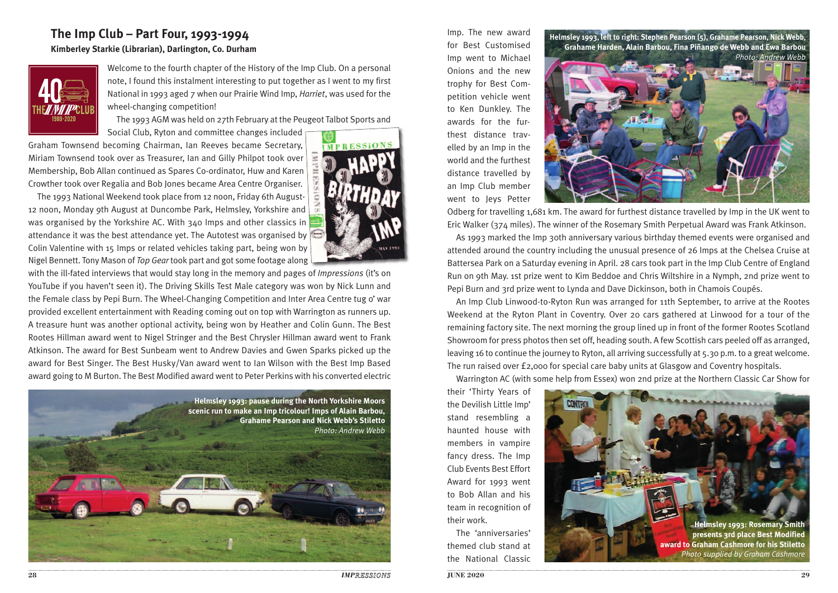## **The Imp Club – Part Four, 1993-1994 Kimberley Starkie (Librarian), Darlington, Co. Durham**



Welcome to the fourth chapter of the History of the Imp Club. On a personal note, I found this instalment interesting to put together as I went to my first National in 1993 aged 7 when our Prairie Wind Imp, *Harriet*, was used for the wheel-changing competition!

The 1993 AGM was held on 27th February at the Peugeot Talbot Sports and

Social Club, Ryton and committee changes included Graham Townsend becoming Chairman, Ian Reeves became Secretary, Miriam Townsend took over as Treasurer, Ian and Gilly Philpot took over Membership, Bob Allan continued as Spares Co-ordinator, Huw and Karen Crowther took over Regalia and Bob Jones became Area Centre Organiser.

 The 1993 National Weekend took place from 12 noon, Friday 6th August-12 noon, Monday 9th August at Duncombe Park, Helmsley, Yorkshire and was organised by the Yorkshire AC. With 340 Imps and other classics in attendance it was the best attendance yet. The Autotest was organised by Colin Valentine with 15 Imps or related vehicles taking part, being won by Nigel Bennett. Tony Mason of *Top Gear* took part and got some footage along



with the ill-fated interviews that would stay long in the memory and pages of *Impressions* (it's on YouTube if you haven't seen it). The Driving Skills Test Male category was won by Nick Lunn and the Female class by Pepi Burn. The Wheel-Changing Competition and Inter Area Centre tug o' war provided excellent entertainment with Reading coming out on top with Warrington as runners up. A treasure hunt was another optional activity, being won by Heather and Colin Gunn. The Best Rootes Hillman award went to Nigel Stringer and the Best Chrysler Hillman award went to Frank Atkinson. The award for Best Sunbeam went to Andrew Davies and Gwen Sparks picked up the award for Best Singer. The Best Husky/Van award went to Ian Wilson with the Best Imp Based award going to M Burton. The Best Modified award went to Peter Perkins with his converted electric



Imp. The new award for Best Customised Imp went to Michael Onions and the new trophy for Best Competition vehicle went to Ken Dunkley. The awards for the furthest distance travelled by an Imp in the world and the furthest distance travelled by an Imp Club member went to Jeys Petter



Odberg for travelling 1,681 km. The award for furthest distance travelled by Imp in the UK went to Eric Walker (374 miles). The winner of the Rosemary Smith Perpetual Award was Frank Atkinson.

 As 1993 marked the Imp 30th anniversary various birthday themed events were organised and attended around the country including the unusual presence of 26 Imps at the Chelsea Cruise at Battersea Park on a Saturday evening in April. 28 cars took part in the Imp Club Centre of England Run on 9th May. 1st prize went to Kim Beddoe and Chris Wiltshire in a Nymph, 2nd prize went to Pepi Burn and 3rd prize went to Lynda and Dave Dickinson, both in Chamois Coupés.

 An Imp Club Linwood-to-Ryton Run was arranged for 11th September, to arrive at the Rootes Weekend at the Ryton Plant in Coventry. Over 20 cars gathered at Linwood for a tour of the remaining factory site. The next morning the group lined up in front of the former Rootes Scotland Showroom for press photos then set off, heading south. A few Scottish cars peeled off as arranged, leaving 16 to continue the journey to Ryton, all arriving successfully at 5.30 p.m. to a great welcome. The run raised over £2,000 for special care baby units at Glasgow and Coventry hospitals.

Warrington AC (with some help from Essex) won 2nd prize at the Northern Classic Car Show for

their 'Thirty Years of the Devilish Little Imp' stand resembling a haunted house with members in vampire fancy dress. The Imp Club Events Best Effort Award for 1993 went to Bob Allan and his team in recognition of their work.

 The 'anniversaries' themed club stand at the National Classic